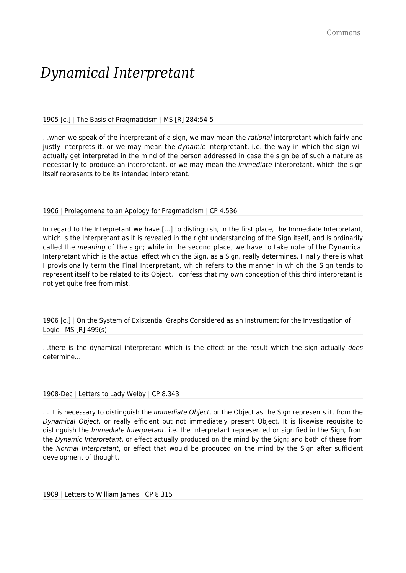# *Dynamical Interpretant*

## 1905 [c.] | The Basis of Pragmaticism | MS [R] 284:54-5

…when we speak of the interpretant of a sign, we may mean the rational interpretant which fairly and justly interprets it, or we may mean the *dynamic* interpretant, i.e. the way in which the sign will actually get interpreted in the mind of the person addressed in case the sign be of such a nature as necessarily to produce an interpretant, or we may mean the *immediate* interpretant, which the sign itself represents to be its intended interpretant.

### 1906 | Prolegomena to an Apology for Pragmaticism | CP 4.536

In regard to the Interpretant we have […] to distinguish, in the first place, the Immediate Interpretant, which is the interpretant as it is revealed in the right understanding of the Sign itself, and is ordinarily called the meaning of the sign; while in the second place, we have to take note of the Dynamical Interpretant which is the actual effect which the Sign, as a Sign, really determines. Finally there is what I provisionally term the Final Interpretant, which refers to the manner in which the Sign tends to represent itself to be related to its Object. I confess that my own conception of this third interpretant is not yet quite free from mist.

1906 [c.] | On the System of Existential Graphs Considered as an Instrument for the Investigation of Logic | MS [R] 499(s)

...there is the dynamical interpretant which is the effect or the result which the sign actually *does* determine…

### 1908-Dec | Letters to Lady Welby | CP 8.343

... it is necessary to distinguish the *Immediate Object*, or the Object as the Sign represents it, from the Dynamical Object, or really efficient but not immediately present Object. It is likewise requisite to distinguish the *Immediate Interpretant*, i.e. the Interpretant represented or signified in the Sign, from the Dynamic Interpretant, or effect actually produced on the mind by the Sign; and both of these from the Normal Interpretant, or effect that would be produced on the mind by the Sign after sufficient development of thought.

1909 | Letters to William James | CP 8.315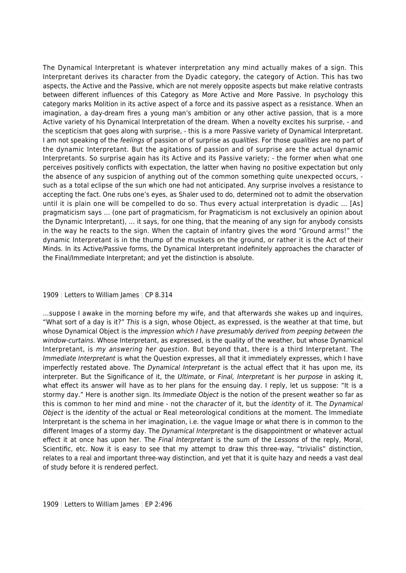The Dynamical Interpretant is whatever interpretation any mind actually makes of a sign. This Interpretant derives its character from the Dyadic category, the category of Action. This has two aspects, the Active and the Passive, which are not merely opposite aspects but make relative contrasts between different influences of this Category as More Active and More Passive. In psychology this category marks Molition in its active aspect of a force and its passive aspect as a resistance. When an imagination, a day-dream fires a young man's ambition or any other active passion, that is a more Active variety of his Dynamical Interpretation of the dream. When a novelty excites his surprise, - and the scepticism that goes along with surprise, - this is a more Passive variety of Dynamical Interpretant. I am not speaking of the feelings of passion or of surprise as qualities. For those qualities are no part of the dynamic Interpretant. But the agitations of passion and of surprise are the actual dynamic Interpretants. So surprise again has its Active and its Passive variety; - the former when what one perceives positively conflicts with expectation, the latter when having no positive expectation but only the absence of any suspicion of anything out of the common something quite unexpected occurs, such as a total eclipse of the sun which one had not anticipated. Any surprise involves a resistance to accepting the fact. One rubs one's eyes, as Shaler used to do, determined not to admit the observation until it is plain one will be compelled to do so. Thus every actual interpretation is dyadic … [As] pragmaticism says … (one part of pragmaticism, for Pragmaticism is not exclusively an opinion about the Dynamic Interpretant), … it says, for one thing, that the meaning of any sign for anybody consists in the way he reacts to the sign. When the captain of infantry gives the word "Ground arms!" the dynamic Interpretant is in the thump of the muskets on the ground, or rather it is the Act of their Minds. In its Active/Passive forms, the Dynamical Interpretant indefinitely approaches the character of the Final/Immediate Interpretant; and yet the distinction is absolute.

### 1909 | Letters to William James | CP 8.314

…suppose I awake in the morning before my wife, and that afterwards she wakes up and inquires, "What sort of a day is it?" This is a sign, whose Object, as expressed, is the weather at that time, but whose Dynamical Object is the impression which I have presumably derived from peeping between the window-curtains. Whose Interpretant, as expressed, is the quality of the weather, but whose Dynamical Interpretant, is my answering her question. But beyond that, there is a third Interpretant. The Immediate Interpretant is what the Question expresses, all that it immediately expresses, which I have imperfectly restated above. The Dynamical Interpretant is the actual effect that it has upon me, its interpreter. But the Significance of it, the Ultimate, or Final, Interpretant is her purpose in asking it, what effect its answer will have as to her plans for the ensuing day. I reply, let us suppose: "It is a stormy day." Here is another sign. Its *Immediate Object* is the notion of the present weather so far as this is common to her mind and mine - not the *character* of it, but the *identity* of it. The Dynamical Object is the *identity* of the actual or Real meteorological conditions at the moment. The Immediate Interpretant is the schema in her imagination, i.e. the vague Image or what there is in common to the different Images of a stormy day. The *Dynamical Interpretant* is the disappointment or whatever actual effect it at once has upon her. The Final Interpretant is the sum of the Lessons of the reply, Moral, Scientific, etc. Now it is easy to see that my attempt to draw this three-way, "trivialis" distinction, relates to a real and important three-way distinction, and yet that it is quite hazy and needs a vast deal of study before it is rendered perfect.